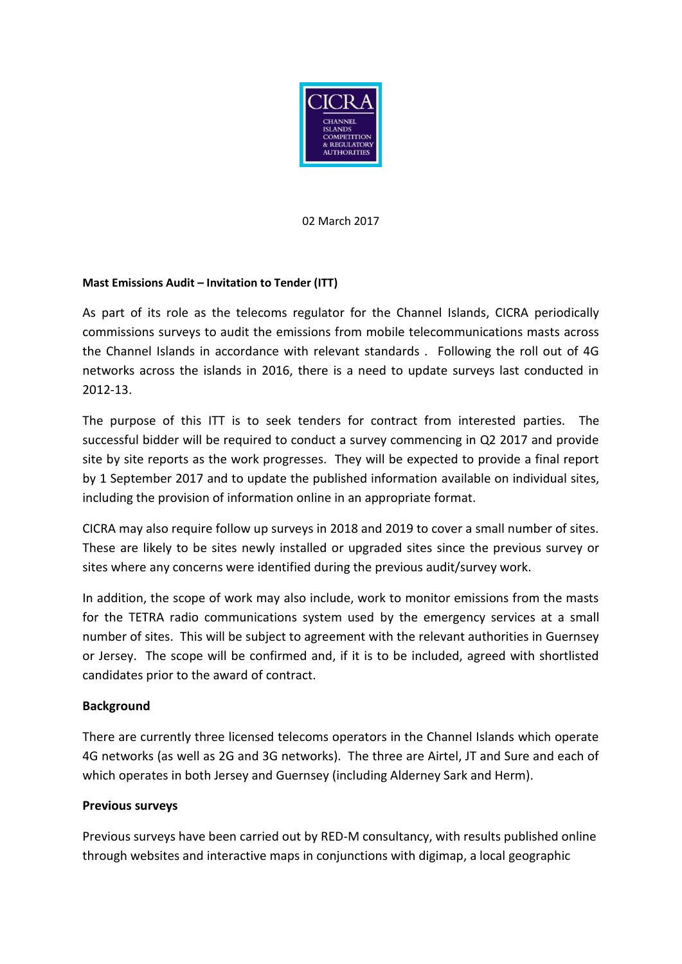

02 March 2017

## **Mast Emissions Audit – Invitation to Tender (ITT)**

As part of its role as the telecoms regulator for the Channel Islands, CICRA periodically commissions surveys to audit the emissions from mobile telecommunications masts across the Channel Islands in accordance with relevant standards . Following the roll out of 4G networks across the islands in 2016, there is a need to update surveys last conducted in 2012-13.

The purpose of this ITT is to seek tenders for contract from interested parties. The successful bidder will be required to conduct a survey commencing in Q2 2017 and provide site by site reports as the work progresses. They will be expected to provide a final report by 1 September 2017 and to update the published information available on individual sites, including the provision of information online in an appropriate format.

CICRA may also require follow up surveys in 2018 and 2019 to cover a small number of sites. These are likely to be sites newly installed or upgraded sites since the previous survey or sites where any concerns were identified during the previous audit/survey work.

In addition, the scope of work may also include, work to monitor emissions from the masts for the TETRA radio communications system used by the emergency services at a small number of sites. This will be subject to agreement with the relevant authorities in Guernsey or Jersey. The scope will be confirmed and, if it is to be included, agreed with shortlisted candidates prior to the award of contract.

# **Background**

There are currently three licensed telecoms operators in the Channel Islands which operate 4G networks (as well as 2G and 3G networks). The three are Airtel, JT and Sure and each of which operates in both Jersey and Guernsey (including Alderney Sark and Herm).

## **Previous surveys**

Previous surveys have been carried out by RED-M consultancy, with results published online through websites and interactive maps in conjunctions with digimap, a local geographic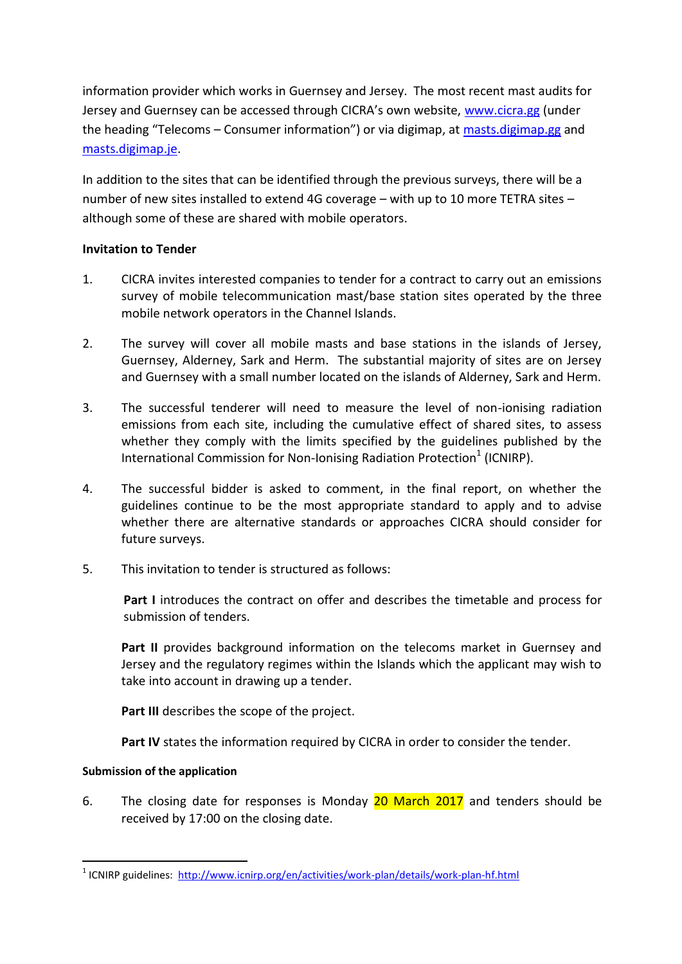information provider which works in Guernsey and Jersey. The most recent mast audits for Jersey and Guernsey can be accessed through CICRA's own website, [www.cicra.gg](http://www.cicra.gg/) (under the heading "Telecoms – Consumer information") or via digimap, at [masts.digimap.gg](http://www.masts.digimap.gg/) and [masts.digimap.je.](http://www.masts.digimap.gg/)

In addition to the sites that can be identified through the previous surveys, there will be a number of new sites installed to extend 4G coverage – with up to 10 more TETRA sites – although some of these are shared with mobile operators.

## **Invitation to Tender**

- 1. CICRA invites interested companies to tender for a contract to carry out an emissions survey of mobile telecommunication mast/base station sites operated by the three mobile network operators in the Channel Islands.
- 2. The survey will cover all mobile masts and base stations in the islands of Jersey, Guernsey, Alderney, Sark and Herm. The substantial majority of sites are on Jersey and Guernsey with a small number located on the islands of Alderney, Sark and Herm.
- 3. The successful tenderer will need to measure the level of non-ionising radiation emissions from each site, including the cumulative effect of shared sites, to assess whether they comply with the limits specified by the guidelines published by the International Commission for Non-Ionising Radiation Protection<sup>1</sup> (ICNIRP).
- 4. The successful bidder is asked to comment, in the final report, on whether the guidelines continue to be the most appropriate standard to apply and to advise whether there are alternative standards or approaches CICRA should consider for future surveys.
- 5. This invitation to tender is structured as follows:

**Part I** introduces the contract on offer and describes the timetable and process for submission of tenders.

**Part II** provides background information on the telecoms market in Guernsey and Jersey and the regulatory regimes within the Islands which the applicant may wish to take into account in drawing up a tender.

**Part III** describes the scope of the project.

**Part IV** states the information required by CICRA in order to consider the tender.

# **Submission of the application**

6. The closing date for responses is Monday 20 March 2017 and tenders should be received by 17:00 on the closing date.

<sup>1</sup> <sup>1</sup> ICNIRP guidelines:<http://www.icnirp.org/en/activities/work-plan/details/work-plan-hf.html>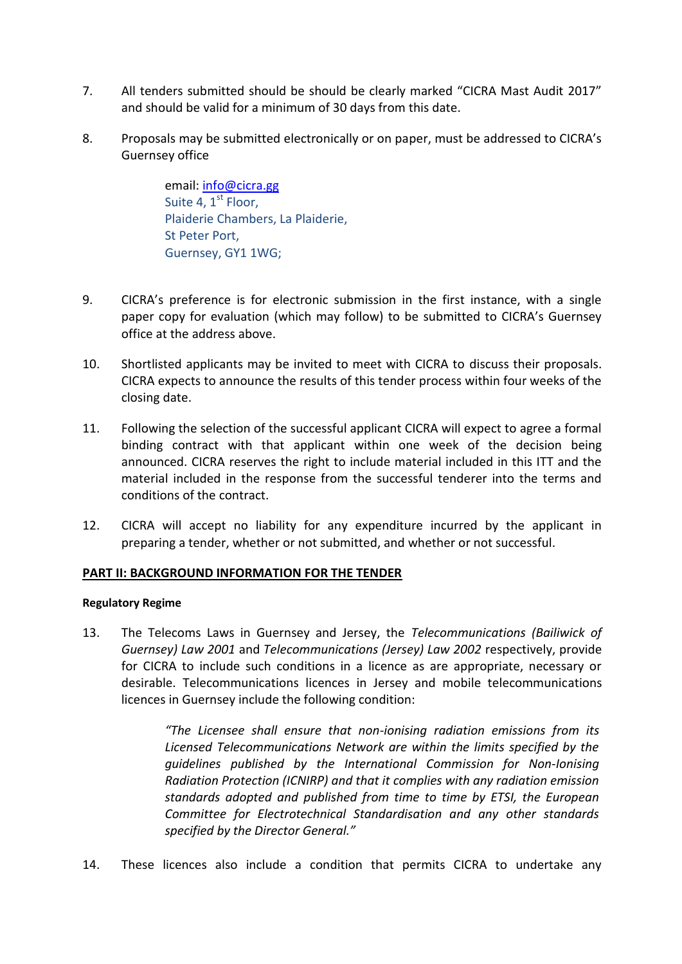- 7. All tenders submitted should be should be clearly marked "CICRA Mast Audit 2017" and should be valid for a minimum of 30 days from this date.
- 8. Proposals may be submitted electronically or on paper, must be addressed to CICRA's Guernsey office

email[: info@cicra.gg](mailto:info@cicra.gg)  Suite 4,  $1<sup>st</sup>$  Floor, Plaiderie Chambers, La Plaiderie, St Peter Port, Guernsey, GY1 1WG;

- 9. CICRA's preference is for electronic submission in the first instance, with a single paper copy for evaluation (which may follow) to be submitted to CICRA's Guernsey office at the address above.
- 10. Shortlisted applicants may be invited to meet with CICRA to discuss their proposals. CICRA expects to announce the results of this tender process within four weeks of the closing date.
- 11. Following the selection of the successful applicant CICRA will expect to agree a formal binding contract with that applicant within one week of the decision being announced. CICRA reserves the right to include material included in this ITT and the material included in the response from the successful tenderer into the terms and conditions of the contract.
- 12. CICRA will accept no liability for any expenditure incurred by the applicant in preparing a tender, whether or not submitted, and whether or not successful.

## **PART II: BACKGROUND INFORMATION FOR THE TENDER**

## **Regulatory Regime**

13. The Telecoms Laws in Guernsey and Jersey, the *Telecommunications (Bailiwick of Guernsey) Law 2001* and *Telecommunications (Jersey) Law 2002* respectively, provide for CICRA to include such conditions in a licence as are appropriate, necessary or desirable. Telecommunications licences in Jersey and mobile telecommunications licences in Guernsey include the following condition:

> *"The Licensee shall ensure that non-ionising radiation emissions from its Licensed Telecommunications Network are within the limits specified by the guidelines published by the International Commission for Non-Ionising Radiation Protection (ICNIRP) and that it complies with any radiation emission standards adopted and published from time to time by ETSI, the European Committee for Electrotechnical Standardisation and any other standards specified by the Director General."*

14. These licences also include a condition that permits CICRA to undertake any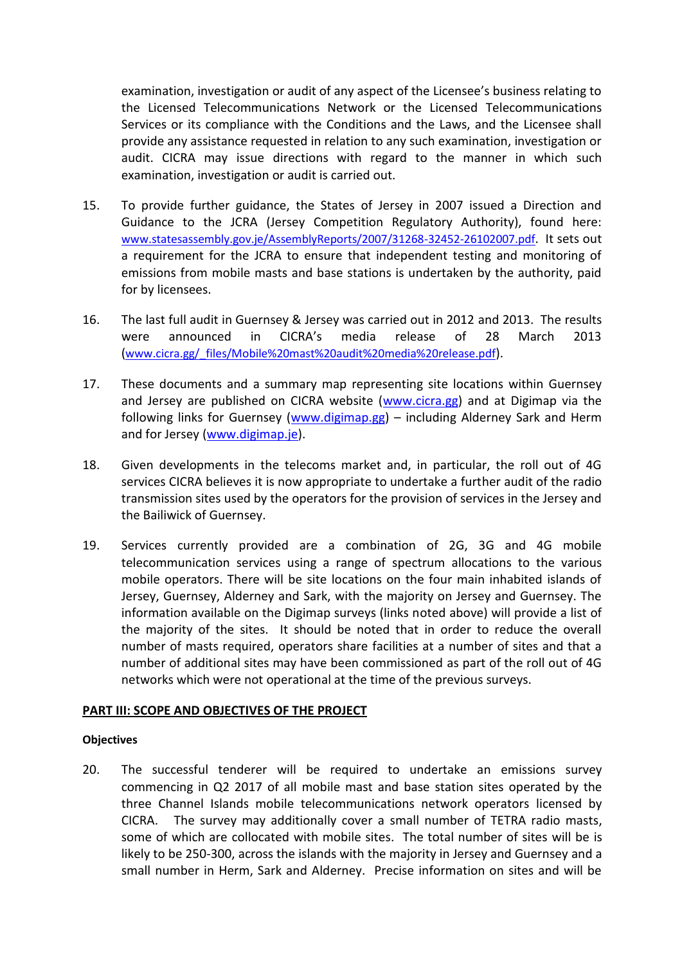examination, investigation or audit of any aspect of the Licensee's business relating to the Licensed Telecommunications Network or the Licensed Telecommunications Services or its compliance with the Conditions and the Laws, and the Licensee shall provide any assistance requested in relation to any such examination, investigation or audit. CICRA may issue directions with regard to the manner in which such examination, investigation or audit is carried out.

- 15. To provide further guidance, the States of Jersey in 2007 issued a Direction and Guidance to the JCRA (Jersey Competition Regulatory Authority), found here: [www.statesassembly.gov.je/AssemblyReports/2007/31268-32452-26102007.pdf](http://www.statesassembly.gov.je/AssemblyReports/2007/31268-32452-26102007.pdf). It sets out a requirement for the JCRA to ensure that independent testing and monitoring of emissions from mobile masts and base stations is undertaken by the authority, paid for by licensees.
- 16. The last full audit in Guernsey & Jersey was carried out in 2012 and 2013. The results were announced in CICRA's media release of 28 March 2013 ([www.cicra.gg/\\_files/Mobile%20mast%20audit%20media%20release.pdf](http://www.cicra.gg/_files/Mobile%20mast%20audit%20media%20release.pdf)).
- 17. These documents and a summary map representing site locations within Guernsey and Jersey are published on CICRA website [\(www.cicra.gg\)](http://www.cicra.gg/) and at Digimap via the following links for Guernsey [\(www.digimap.gg\)](http://www.digimap.gg/) – including Alderney Sark and Herm and for Jersey [\(www.digimap.je\)](http://www.digimap.je/).
- 18. Given developments in the telecoms market and, in particular, the roll out of 4G services CICRA believes it is now appropriate to undertake a further audit of the radio transmission sites used by the operators for the provision of services in the Jersey and the Bailiwick of Guernsey.
- 19. Services currently provided are a combination of 2G, 3G and 4G mobile telecommunication services using a range of spectrum allocations to the various mobile operators. There will be site locations on the four main inhabited islands of Jersey, Guernsey, Alderney and Sark, with the majority on Jersey and Guernsey. The information available on the Digimap surveys (links noted above) will provide a list of the majority of the sites. It should be noted that in order to reduce the overall number of masts required, operators share facilities at a number of sites and that a number of additional sites may have been commissioned as part of the roll out of 4G networks which were not operational at the time of the previous surveys.

#### **PART III: SCOPE AND OBJECTIVES OF THE PROJECT**

#### **Objectives**

20. The successful tenderer will be required to undertake an emissions survey commencing in Q2 2017 of all mobile mast and base station sites operated by the three Channel Islands mobile telecommunications network operators licensed by CICRA. The survey may additionally cover a small number of TETRA radio masts, some of which are collocated with mobile sites. The total number of sites will be is likely to be 250-300, across the islands with the majority in Jersey and Guernsey and a small number in Herm, Sark and Alderney. Precise information on sites and will be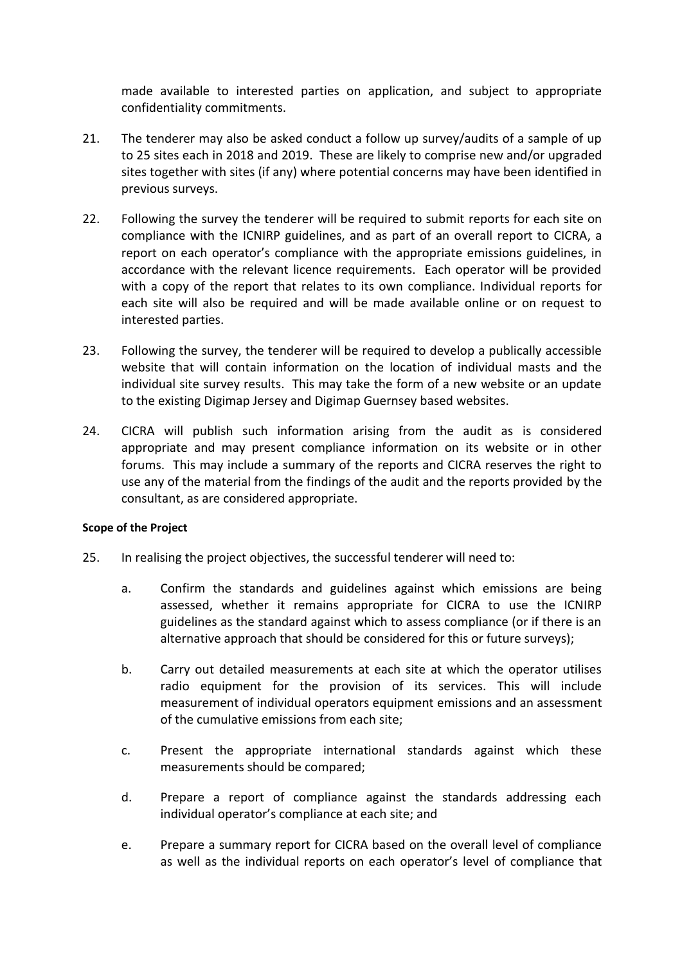made available to interested parties on application, and subject to appropriate confidentiality commitments.

- 21. The tenderer may also be asked conduct a follow up survey/audits of a sample of up to 25 sites each in 2018 and 2019. These are likely to comprise new and/or upgraded sites together with sites (if any) where potential concerns may have been identified in previous surveys.
- 22. Following the survey the tenderer will be required to submit reports for each site on compliance with the ICNIRP guidelines, and as part of an overall report to CICRA, a report on each operator's compliance with the appropriate emissions guidelines, in accordance with the relevant licence requirements. Each operator will be provided with a copy of the report that relates to its own compliance. Individual reports for each site will also be required and will be made available online or on request to interested parties.
- 23. Following the survey, the tenderer will be required to develop a publically accessible website that will contain information on the location of individual masts and the individual site survey results. This may take the form of a new website or an update to the existing Digimap Jersey and Digimap Guernsey based websites.
- 24. CICRA will publish such information arising from the audit as is considered appropriate and may present compliance information on its website or in other forums. This may include a summary of the reports and CICRA reserves the right to use any of the material from the findings of the audit and the reports provided by the consultant, as are considered appropriate.

## **Scope of the Project**

- 25. In realising the project objectives, the successful tenderer will need to:
	- a. Confirm the standards and guidelines against which emissions are being assessed, whether it remains appropriate for CICRA to use the ICNIRP guidelines as the standard against which to assess compliance (or if there is an alternative approach that should be considered for this or future surveys);
	- b. Carry out detailed measurements at each site at which the operator utilises radio equipment for the provision of its services. This will include measurement of individual operators equipment emissions and an assessment of the cumulative emissions from each site;
	- c. Present the appropriate international standards against which these measurements should be compared;
	- d. Prepare a report of compliance against the standards addressing each individual operator's compliance at each site; and
	- e. Prepare a summary report for CICRA based on the overall level of compliance as well as the individual reports on each operator's level of compliance that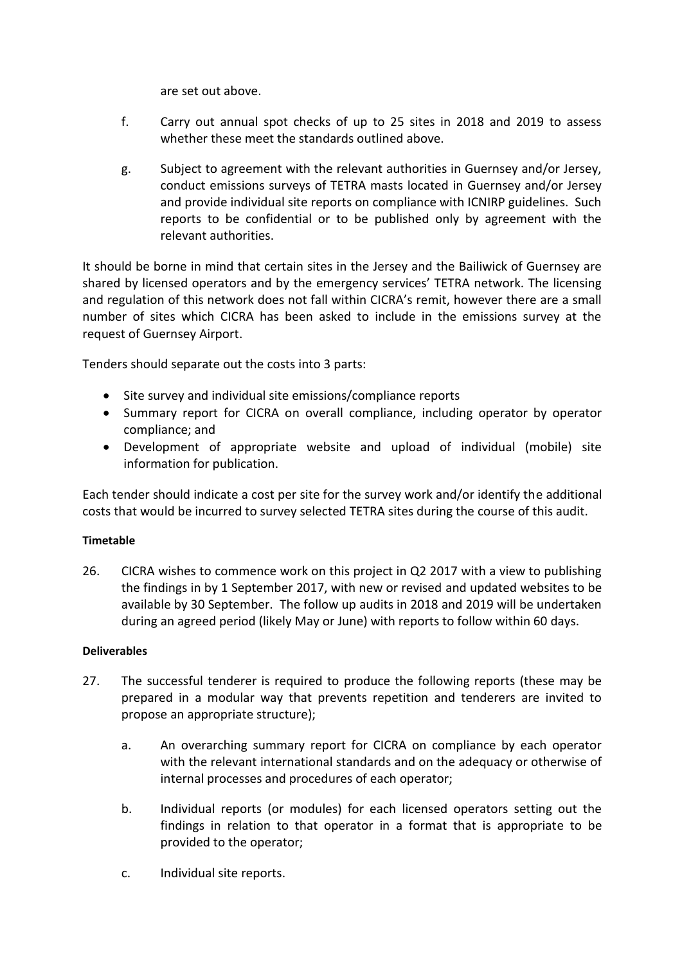are set out above.

- f. Carry out annual spot checks of up to 25 sites in 2018 and 2019 to assess whether these meet the standards outlined above.
- g. Subject to agreement with the relevant authorities in Guernsey and/or Jersey, conduct emissions surveys of TETRA masts located in Guernsey and/or Jersey and provide individual site reports on compliance with ICNIRP guidelines. Such reports to be confidential or to be published only by agreement with the relevant authorities.

It should be borne in mind that certain sites in the Jersey and the Bailiwick of Guernsey are shared by licensed operators and by the emergency services' TETRA network. The licensing and regulation of this network does not fall within CICRA's remit, however there are a small number of sites which CICRA has been asked to include in the emissions survey at the request of Guernsey Airport.

Tenders should separate out the costs into 3 parts:

- Site survey and individual site emissions/compliance reports
- Summary report for CICRA on overall compliance, including operator by operator compliance; and
- Development of appropriate website and upload of individual (mobile) site information for publication.

Each tender should indicate a cost per site for the survey work and/or identify the additional costs that would be incurred to survey selected TETRA sites during the course of this audit.

## **Timetable**

26. CICRA wishes to commence work on this project in Q2 2017 with a view to publishing the findings in by 1 September 2017, with new or revised and updated websites to be available by 30 September. The follow up audits in 2018 and 2019 will be undertaken during an agreed period (likely May or June) with reports to follow within 60 days.

## **Deliverables**

- 27. The successful tenderer is required to produce the following reports (these may be prepared in a modular way that prevents repetition and tenderers are invited to propose an appropriate structure);
	- a. An overarching summary report for CICRA on compliance by each operator with the relevant international standards and on the adequacy or otherwise of internal processes and procedures of each operator;
	- b. Individual reports (or modules) for each licensed operators setting out the findings in relation to that operator in a format that is appropriate to be provided to the operator;
	- c. Individual site reports.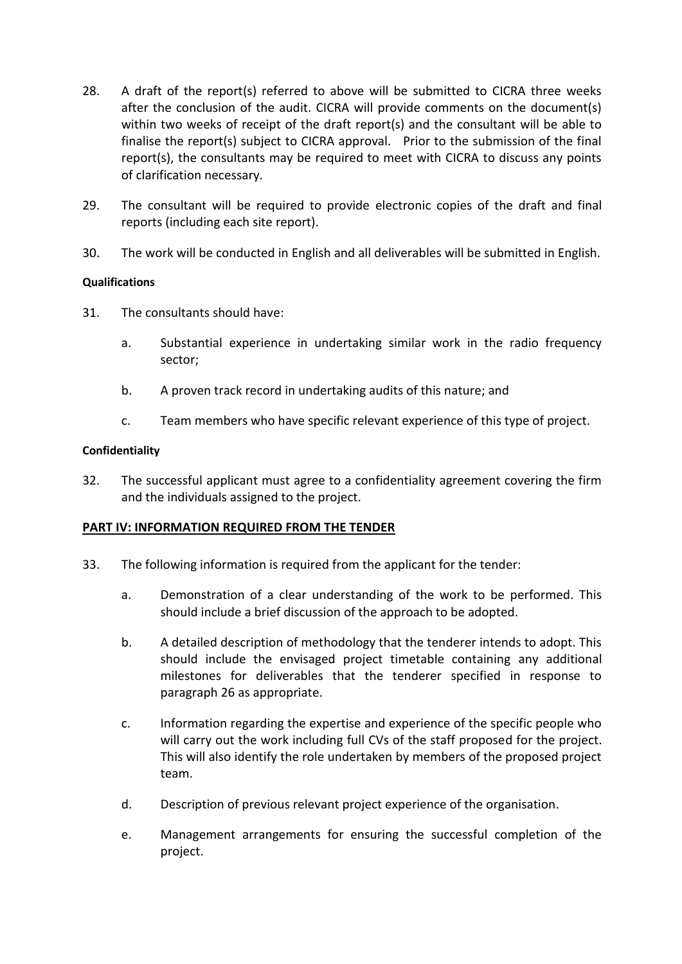- 28. A draft of the report(s) referred to above will be submitted to CICRA three weeks after the conclusion of the audit. CICRA will provide comments on the document(s) within two weeks of receipt of the draft report(s) and the consultant will be able to finalise the report(s) subject to CICRA approval. Prior to the submission of the final report(s), the consultants may be required to meet with CICRA to discuss any points of clarification necessary.
- 29. The consultant will be required to provide electronic copies of the draft and final reports (including each site report).
- 30. The work will be conducted in English and all deliverables will be submitted in English.

## **Qualifications**

- 31. The consultants should have:
	- a. Substantial experience in undertaking similar work in the radio frequency sector;
	- b. A proven track record in undertaking audits of this nature; and
	- c. Team members who have specific relevant experience of this type of project.

#### **Confidentiality**

32. The successful applicant must agree to a confidentiality agreement covering the firm and the individuals assigned to the project.

## **PART IV: INFORMATION REQUIRED FROM THE TENDER**

- 33. The following information is required from the applicant for the tender:
	- a. Demonstration of a clear understanding of the work to be performed. This should include a brief discussion of the approach to be adopted.
	- b. A detailed description of methodology that the tenderer intends to adopt. This should include the envisaged project timetable containing any additional milestones for deliverables that the tenderer specified in response to paragraph 26 as appropriate.
	- c. Information regarding the expertise and experience of the specific people who will carry out the work including full CVs of the staff proposed for the project. This will also identify the role undertaken by members of the proposed project team.
	- d. Description of previous relevant project experience of the organisation.
	- e. Management arrangements for ensuring the successful completion of the project.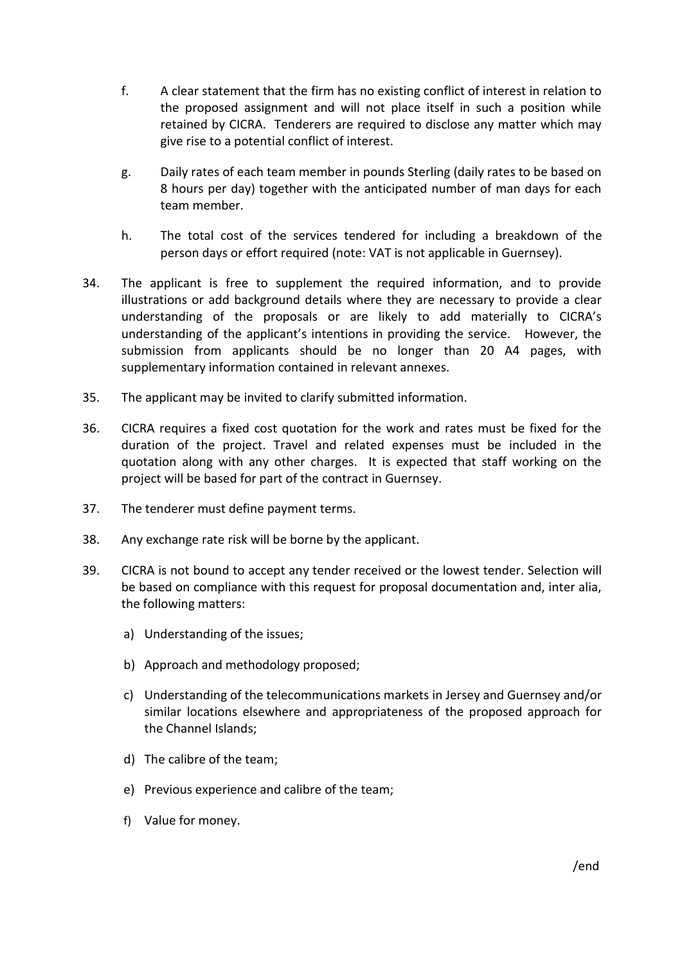- f. A clear statement that the firm has no existing conflict of interest in relation to the proposed assignment and will not place itself in such a position while retained by CICRA. Tenderers are required to disclose any matter which may give rise to a potential conflict of interest.
- g. Daily rates of each team member in pounds Sterling (daily rates to be based on 8 hours per day) together with the anticipated number of man days for each team member.
- h. The total cost of the services tendered for including a breakdown of the person days or effort required (note: VAT is not applicable in Guernsey).
- 34. The applicant is free to supplement the required information, and to provide illustrations or add background details where they are necessary to provide a clear understanding of the proposals or are likely to add materially to CICRA's understanding of the applicant's intentions in providing the service. However, the submission from applicants should be no longer than 20 A4 pages, with supplementary information contained in relevant annexes.
- 35. The applicant may be invited to clarify submitted information.
- 36. CICRA requires a fixed cost quotation for the work and rates must be fixed for the duration of the project. Travel and related expenses must be included in the quotation along with any other charges. It is expected that staff working on the project will be based for part of the contract in Guernsey.
- 37. The tenderer must define payment terms.
- 38. Any exchange rate risk will be borne by the applicant.
- 39. CICRA is not bound to accept any tender received or the lowest tender. Selection will be based on compliance with this request for proposal documentation and, inter alia, the following matters:
	- a) Understanding of the issues;
	- b) Approach and methodology proposed;
	- c) Understanding of the telecommunications markets in Jersey and Guernsey and/or similar locations elsewhere and appropriateness of the proposed approach for the Channel Islands;
	- d) The calibre of the team;
	- e) Previous experience and calibre of the team;
	- f) Value for money.